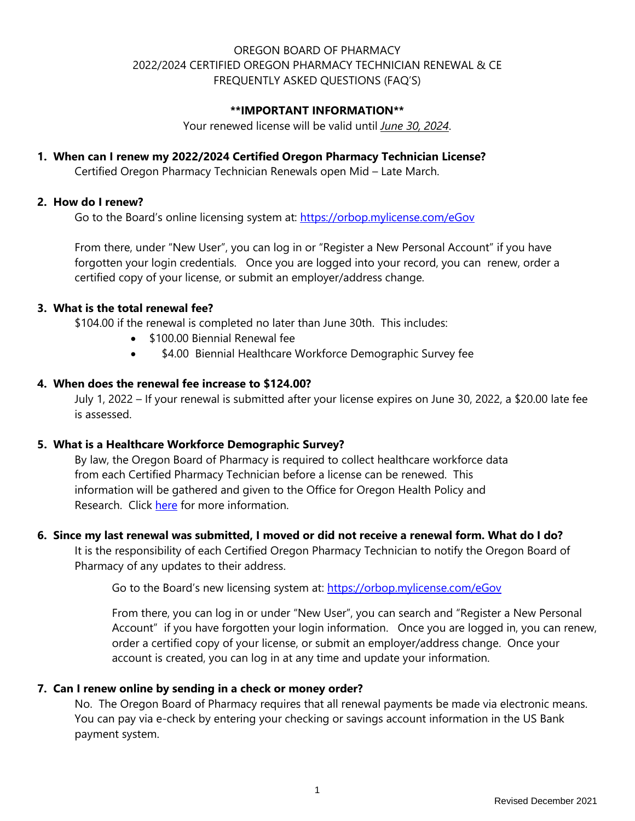# OREGON BOARD OF PHARMACY 2022/2024 CERTIFIED OREGON PHARMACY TECHNICIAN RENEWAL & CE FREQUENTLY ASKED QUESTIONS (FAQ'S)

#### **\*\*IMPORTANT INFORMATION\*\***

Your renewed license will be valid until *June 30, 2024*.

#### **1. When can I renew my 2022/2024 Certified Oregon Pharmacy Technician License?**

Certified Oregon Pharmacy Technician Renewals open Mid – Late March.

#### **2. How do I renew?**

Go to the Board's online licensing system at:<https://orbop.mylicense.com/eGov>

From there, under "New User", you can log in or "Register a New Personal Account" if you have forgotten your login credentials. Once you are logged into your record, you can renew, order a certified copy of your license, or submit an employer/address change.

#### **3. What is the total renewal fee?**

\$104.00 if the renewal is completed no later than June 30th. This includes:

- \$100.00 Biennial Renewal fee
- \$4.00 Biennial Healthcare Workforce Demographic Survey fee

# **4. When does the renewal fee increase to \$124.00?**

July 1, 2022 – If your renewal is submitted after your license expires on June 30, 2022, a \$20.00 late fee is assessed.

## **5. What is a Healthcare Workforce Demographic Survey?**

By law, the Oregon Board of Pharmacy is required to collect healthcare workforce data from each Certified Pharmacy Technician before a license can be renewed. This information will be gathered and given to the Office for Oregon Health Policy and Research. Click [here](https://www.oregon.gov/oha/HPA/ANALYTICS/Pages/Health-Care-Workforce-Reporting.aspx) for more information.

#### **6. Since my last renewal was submitted, I moved or did not receive a renewal form. What do I do?**

It is the responsibility of each Certified Oregon Pharmacy Technician to notify the Oregon Board of Pharmacy of any updates to their address.

Go to the Board's new licensing system at:<https://orbop.mylicense.com/eGov>

From there, you can log in or under "New User", you can search and "Register a New Personal Account" if you have forgotten your login information. Once you are logged in, you can renew, order a certified copy of your license, or submit an employer/address change. Once your account is created, you can log in at any time and update your information.

#### **7. Can I renew online by sending in a check or money order?**

No. The Oregon Board of Pharmacy requires that all renewal payments be made via electronic means. You can pay via e-check by entering your checking or savings account information in the US Bank payment system.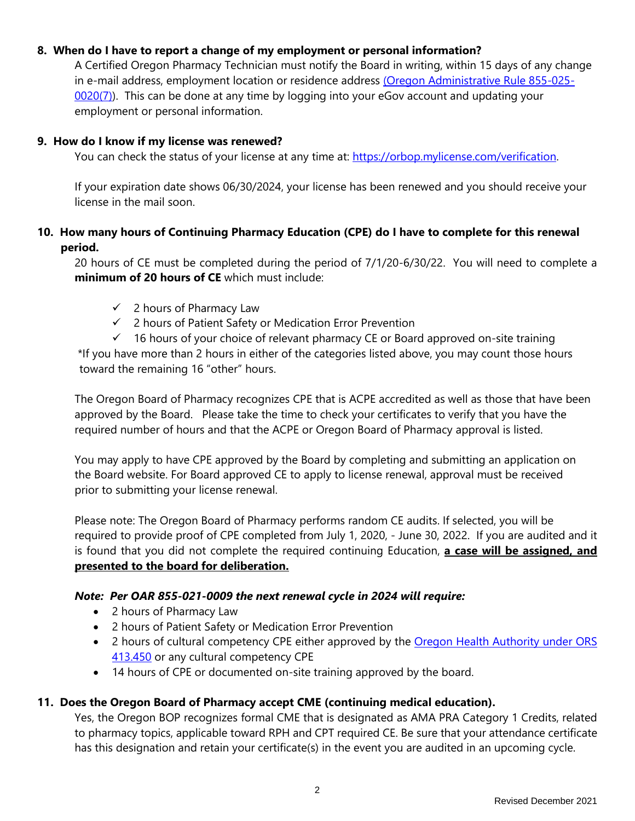## **8. When do I have to report a change of my employment or personal information?**

A Certified Oregon Pharmacy Technician must notify the Board in writing, within 15 days of any change in e-mail address, employment location or residence address [\(Oregon Administrative Rule 855-025-](https://secure.sos.state.or.us/oard/viewSingleRule.action?ruleVrsnRsn=278926) [0020\(7\)\)](https://secure.sos.state.or.us/oard/viewSingleRule.action?ruleVrsnRsn=278926). This can be done at any time by logging into your eGov account and updating your employment or personal information.

## **9. How do I know if my license was renewed?**

You can check the status of your license at any time at: [https://orbop.mylicense.com/verification.](https://orbop.mylicense.com/verification)

If your expiration date shows 06/30/2024, your license has been renewed and you should receive your license in the mail soon.

# **10. How many hours of Continuing Pharmacy Education (CPE) do I have to complete for this renewal period.**

20 hours of CE must be completed during the period of 7/1/20-6/30/22. You will need to complete a **minimum of 20 hours of CE** which must include:

- $\checkmark$  2 hours of Pharmacy Law
- $\checkmark$  2 hours of Patient Safety or Medication Error Prevention
- $\checkmark$  16 hours of your choice of relevant pharmacy CE or Board approved on-site training

\*If you have more than 2 hours in either of the categories listed above, you may count those hours toward the remaining 16 "other" hours.

The Oregon Board of Pharmacy recognizes CPE that is ACPE accredited as well as those that have been approved by the Board. Please take the time to check your certificates to verify that you have the required number of hours and that the ACPE or Oregon Board of Pharmacy approval is listed.

You may apply to have CPE approved by the Board by completing and submitting an application on the Board website. For Board approved CE to apply to license renewal, approval must be received prior to submitting your license renewal.

Please note: The Oregon Board of Pharmacy performs random CE audits. If selected, you will be required to provide proof of CPE completed from July 1, 2020, - June 30, 2022. If you are audited and it is found that you did not complete the required continuing Education, **a case will be assigned, and presented to the board for deliberation.**

# *Note: Per OAR 855-021-0009 the next renewal cycle in 2024 will require:*

- 2 hours of Pharmacy Law
- 2 hours of Patient Safety or Medication Error Prevention
- 2 hours of cultural competency CPE either approved by the Oregon Health Authority under ORS [413.450](https://www.oregon.gov/oha/OEI/Pages/CCCE.aspx) or any cultural competency CPE
- 14 hours of CPE or documented on-site training approved by the board.

#### **11. Does the Oregon Board of Pharmacy accept CME (continuing medical education).**

Yes, the Oregon BOP recognizes formal CME that is designated as AMA PRA Category 1 Credits, related to pharmacy topics, applicable toward RPH and CPT required CE. Be sure that your attendance certificate has this designation and retain your certificate(s) in the event you are audited in an upcoming cycle.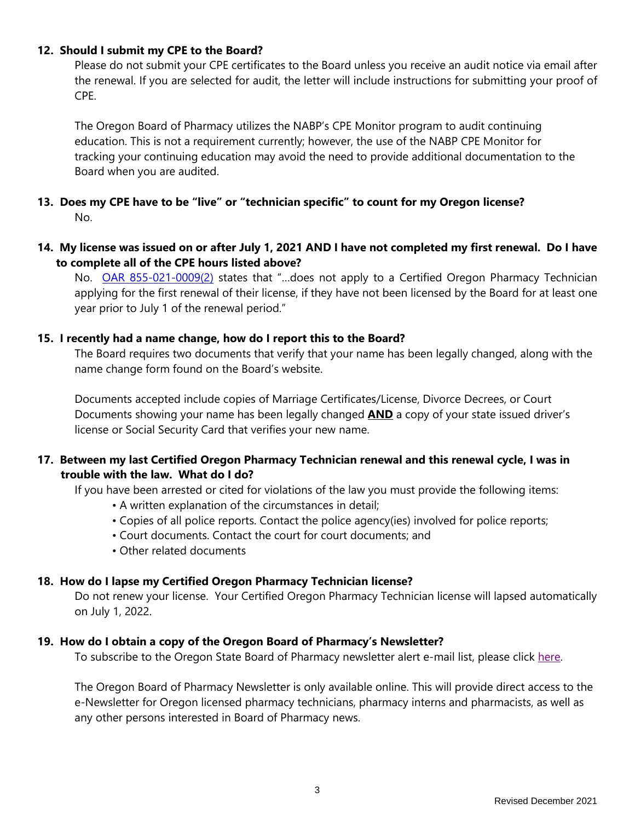#### **12. Should I submit my CPE to the Board?**

Please do not submit your CPE certificates to the Board unless you receive an audit notice via email after the renewal. If you are selected for audit, the letter will include instructions for submitting your proof of CPE.

The Oregon Board of Pharmacy utilizes the NABP's CPE Monitor program to audit continuing education. This is not a requirement currently; however, the use of the NABP CPE Monitor for tracking your continuing education may avoid the need to provide additional documentation to the Board when you are audited.

# **13. Does my CPE have to be "live" or "technician specific" to count for my Oregon license?** No.

# **14. My license was issued on or after July 1, 2021 AND I have not completed my first renewal. Do I have to complete all of the CPE hours listed above?**

No. [OAR 855-021-0009\(2\)](https://secure.sos.state.or.us/oard/viewSingleRule.action?ruleVrsnRsn=278913) states that "...does not apply to a Certified Oregon Pharmacy Technician applying for the first renewal of their license, if they have not been licensed by the Board for at least one year prior to July 1 of the renewal period."

## **15. I recently had a name change, how do I report this to the Board?**

The Board requires two documents that verify that your name has been legally changed, along with the name change form found on the Board's website.

Documents accepted include copies of Marriage Certificates/License, Divorce Decrees, or Court Documents showing your name has been legally changed **AND** a copy of your state issued driver's license or Social Security Card that verifies your new name.

# **17. Between my last Certified Oregon Pharmacy Technician renewal and this renewal cycle, I was in trouble with the law. What do I do?**

If you have been arrested or cited for violations of the law you must provide the following items:

- A written explanation of the circumstances in detail;
- Copies of all police reports. Contact the police agency(ies) involved for police reports;
- Court documents. Contact the court for court documents; and
- Other related documents

# **18. How do I lapse my Certified Oregon Pharmacy Technician license?**

Do not renew your license. Your Certified Oregon Pharmacy Technician license will lapsed automatically on July 1, 2022.

#### **19. How do I obtain a copy of the Oregon Board of Pharmacy's Newsletter?**

To subscribe to the Oregon State Board of Pharmacy newsletter alert e-mail list, please click [here.](https://lb.benchmarkemail.com/listbuilder/signupnew?rv2tG%252BqgWS0foLBiXTsMWxBOtDtY377cnReJtshBxio10c525SjkUzciHg%252FVbFy1)

The Oregon Board of Pharmacy Newsletter is only available online. This will provide direct access to the e-Newsletter for Oregon licensed pharmacy technicians, pharmacy interns and pharmacists, as well as any other persons interested in Board of Pharmacy news.